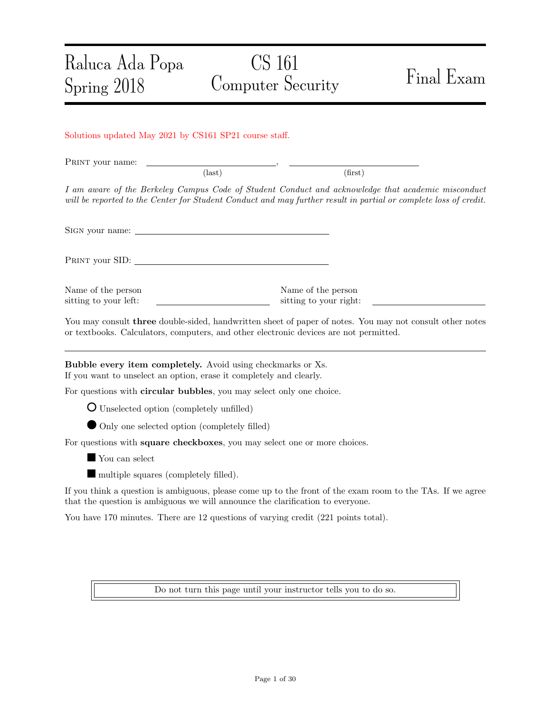# Raluca Ada Popa CS 161 Computer Security Final Exam Spring 2018 Solutions updated May 2021 by CS161 SP21 course staff. PRINT your name:  $\text{(last)}$  (first) I am aware of the Berkeley Campus Code of Student Conduct and acknowledge that academic misconduct will be reported to the Center for Student Conduct and may further result in partial or complete loss of credit. Sign your name: PRINT your SID: Name of the person Name of the person sitting to your left: sitting to your right: You may consult three double-sided, handwritten sheet of paper of notes. You may not consult other notes or textbooks. Calculators, computers, and other electronic devices are not permitted. Bubble every item completely. Avoid using checkmarks or Xs. If you want to unselect an option, erase it completely and clearly. For questions with circular bubbles, you may select only one choice. Unselected option (completely unfilled) Only one selected option (completely filled) For questions with square checkboxes, you may select one or more choices. You can select multiple squares (completely filled).

If you think a question is ambiguous, please come up to the front of the exam room to the TAs. If we agree that the question is ambiguous we will announce the clarification to everyone.

You have 170 minutes. There are 12 questions of varying credit (221 points total).

Do not turn this page until your instructor tells you to do so.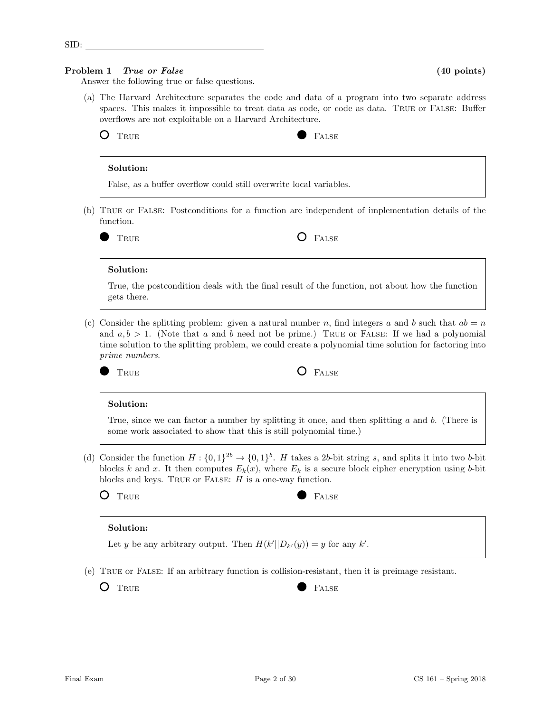TRUE **FALSE** 

# Solution:

Answer the following true or false questions.

False, as a buffer overflow could still overwrite local variables.

(b) True or False: Postconditions for a function are independent of implementation details of the function.

(a) The Harvard Architecture separates the code and data of a program into two separate address

TRUE **O** FALSE

# Solution:

True, the postcondition deals with the final result of the function, not about how the function gets there.

(c) Consider the splitting problem: given a natural number n, find integers a and b such that  $ab = n$ and  $a, b > 1$ . (Note that a and b need not be prime.) TRUE or FALSE: If we had a polynomial time solution to the splitting problem, we could create a polynomial time solution for factoring into prime numbers.



# TRUE **O** FALSE

# Solution:

True, since we can factor a number by splitting it once, and then splitting  $a$  and  $b$ . (There is some work associated to show that this is still polynomial time.)

- (d) Consider the function  $H: \{0,1\}^{2b} \to \{0,1\}^b$ . H takes a 2b-bit string s, and splits it into two b-bit blocks k and x. It then computes  $E_k(x)$ , where  $E_k$  is a secure block cipher encryption using b-bit blocks and keys. TRUE or FALSE:  $H$  is a one-way function.
	-

# Solution:

Let y be any arbitrary output. Then  $H(k'||D_{k'}(y)) = y$  for any k'.

(e) True or False: If an arbitrary function is collision-resistant, then it is preimage resistant.

O TRUE RALSE

SID: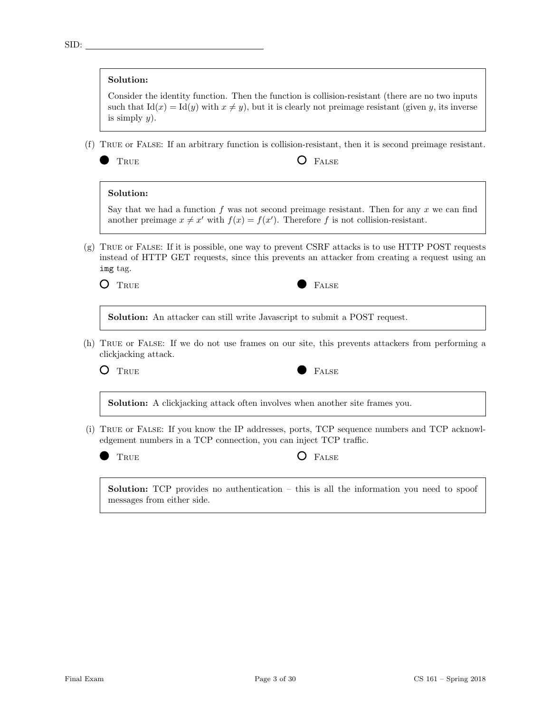# Solution:

Consider the identity function. Then the function is collision-resistant (there are no two inputs such that  $Id(x) = Id(y)$  with  $x \neq y$ , but it is clearly not preimage resistant (given y, its inverse is simply  $y$ ).

(f) True or False: If an arbitrary function is collision-resistant, then it is second preimage resistant.

TRUE **O** FALSE

# Solution:

Say that we had a function f was not second preimage resistant. Then for any  $x$  we can find another preimage  $x \neq x'$  with  $f(x) = f(x')$ . Therefore f is not collision-resistant.

(g) True or False: If it is possible, one way to prevent CSRF attacks is to use HTTP POST requests instead of HTTP GET requests, since this prevents an attacker from creating a request using an img tag.



Solution: An attacker can still write Javascript to submit a POST request.

(h) True or False: If we do not use frames on our site, this prevents attackers from performing a clickjacking attack.



Solution: A clickjacking attack often involves when another site frames you.

(i) True or False: If you know the IP addresses, ports, TCP sequence numbers and TCP acknowledgement numbers in a TCP connection, you can inject TCP traffic.

| $_{\rm TRUE}$ | <b>O</b> FALSE |
|---------------|----------------|
|               |                |

Solution: TCP provides no authentication – this is all the information you need to spoof messages from either side.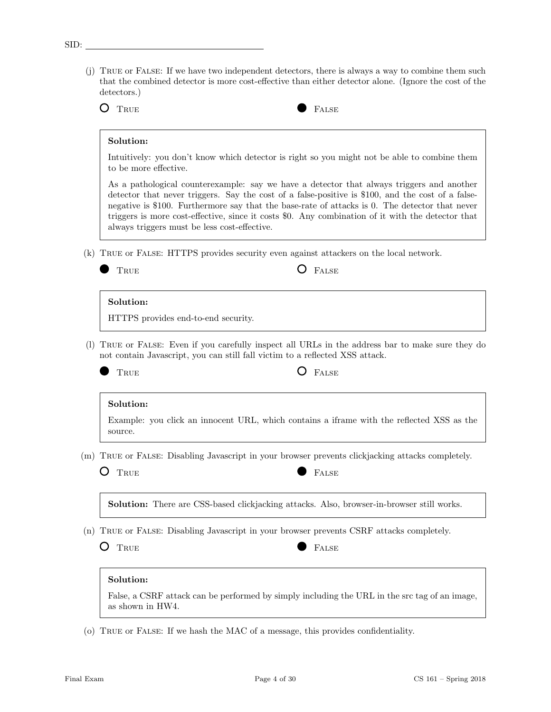(j) True or False: If we have two independent detectors, there is always a way to combine them such that the combined detector is more cost-effective than either detector alone. (Ignore the cost of the detectors.)



# Solution:

Intuitively: you don't know which detector is right so you might not be able to combine them to be more effective.

As a pathological counterexample: say we have a detector that always triggers and another detector that never triggers. Say the cost of a false-positive is \$100, and the cost of a falsenegative is \$100. Furthermore say that the base-rate of attacks is 0. The detector that never triggers is more cost-effective, since it costs \$0. Any combination of it with the detector that always triggers must be less cost-effective.

(k) True or False: HTTPS provides security even against attackers on the local network.

| ۰. | ×<br>I |
|----|--------|

 $\Gamma$  False

### Solution:

HTTPS provides end-to-end security.

(l) True or False: Even if you carefully inspect all URLs in the address bar to make sure they do not contain Javascript, you can still fall victim to a reflected XSS attack.

D

# TRUE **C** FALSE

### Solution:

Example: you click an innocent URL, which contains a iframe with the reflected XSS as the source.

(m) True or False: Disabling Javascript in your browser prevents clickjacking attacks completely.

TRUE **FALSE** 

Solution: There are CSS-based clickjacking attacks. Also, browser-in-browser still works.

- (n) True or False: Disabling Javascript in your browser prevents CSRF attacks completely.
	- O TRUE **FALSE**

# Solution:

False, a CSRF attack can be performed by simply including the URL in the src tag of an image, as shown in HW4.

(o) True or False: If we hash the MAC of a message, this provides confidentiality.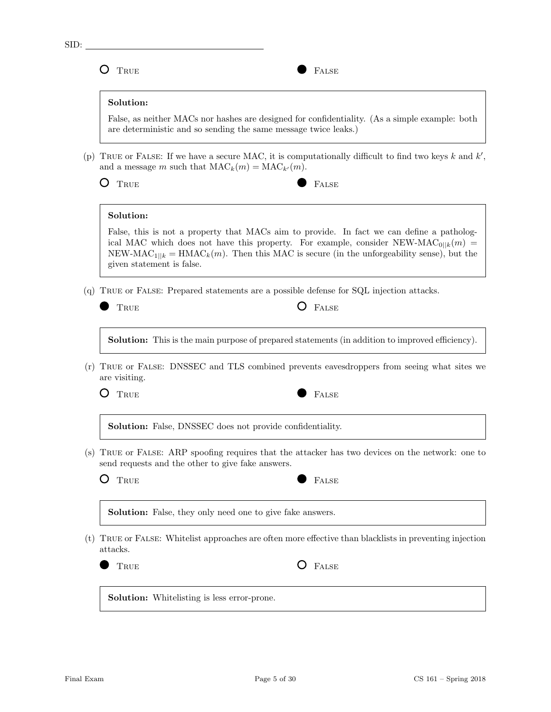SID: O TRUE PALSE Solution: False, as neither MACs nor hashes are designed for confidentiality. (As a simple example: both are deterministic and so sending the same message twice leaks.) (p) TRUE or FALSE: If we have a secure MAC, it is computationally difficult to find two keys  $k$  and  $k'$ , and a message m such that  $\text{MAC}_k(m) = \text{MAC}_{k'}(m)$ . O TRUE **FALSE** Solution: False, this is not a property that MACs aim to provide. In fact we can define a pathological MAC which does not have this property. For example, consider NEW-MAC<sub>0</sub> $\mu$ (m) = NEW-MAC<sub>1||k</sub> = HMAC<sub>k</sub>(m). Then this MAC is secure (in the unforgeability sense), but the given statement is false. (q) True or False: Prepared statements are a possible defense for SQL injection attacks. TRUE **O** FALSE Solution: This is the main purpose of prepared statements (in addition to improved efficiency). (r) True or False: DNSSEC and TLS combined prevents eavesdroppers from seeing what sites we are visiting. O TRUE **FALSE** Solution: False, DNSSEC does not provide confidentiality. (s) True or False: ARP spoofing requires that the attacker has two devices on the network: one to send requests and the other to give fake answers. O TRUE **FALSE** Solution: False, they only need one to give fake answers. (t) True or False: Whitelist approaches are often more effective than blacklists in preventing injection attacks. TRUE **O** FALSE

Solution: Whitelisting is less error-prone.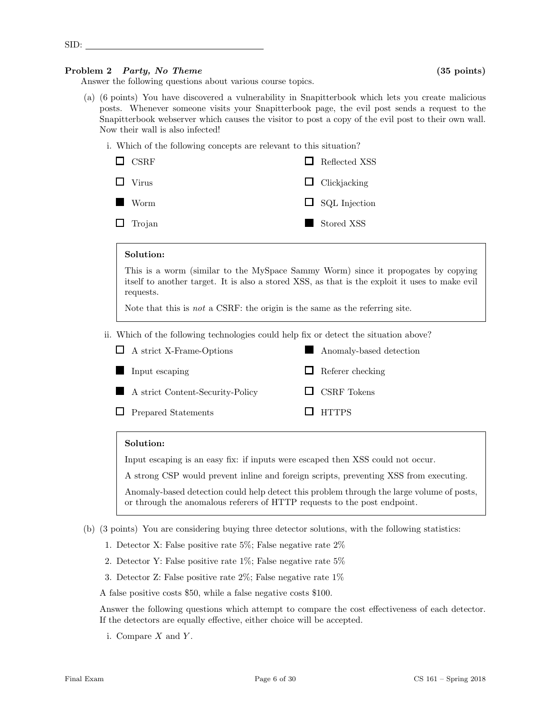# Problem 2 Party, No Theme (35 points)

SID:

Answer the following questions about various course topics.

- (a) (6 points) You have discovered a vulnerability in Snapitterbook which lets you create malicious posts. Whenever someone visits your Snapitterbook page, the evil post sends a request to the Snapitterbook webserver which causes the visitor to post a copy of the evil post to their own wall. Now their wall is also infected!
	- i. Which of the following concepts are relevant to this situation?

| $\Box$ CSRF   | $\Box$ Reflected XSS |
|---------------|----------------------|
| $\Box$ Virus  | $\Box$ Clickjacking  |
| <b>Worm</b>   | $\Box$ SQL Injection |
| $\Box$ Trojan | Stored XSS           |

# Solution:

This is a worm (similar to the MySpace Sammy Worm) since it propogates by copying itself to another target. It is also a stored XSS, as that is the exploit it uses to make evil requests.

Note that this is not a CSRF: the origin is the same as the referring site.

ii. Which of the following technologies could help fix or detect the situation above?

| $\Box$ A strict X-Frame-Options  | Anomaly-based detection |
|----------------------------------|-------------------------|
| Input escaping                   | $\Box$ Referer checking |
| A strict Content-Security-Policy | $\Box$ CSRF Tokens      |
| $\Box$ Prepared Statements       | $\Box$ HTTPS            |

# Solution:

Input escaping is an easy fix: if inputs were escaped then XSS could not occur.

A strong CSP would prevent inline and foreign scripts, preventing XSS from executing.

Anomaly-based detection could help detect this problem through the large volume of posts, or through the anomalous referers of HTTP requests to the post endpoint.

- (b) (3 points) You are considering buying three detector solutions, with the following statistics:
	- 1. Detector X: False positive rate 5%; False negative rate 2%
	- 2. Detector Y: False positive rate  $1\%$ ; False negative rate  $5\%$
	- 3. Detector Z: False positive rate 2%; False negative rate 1%
	- A false positive costs \$50, while a false negative costs \$100.

Answer the following questions which attempt to compare the cost effectiveness of each detector. If the detectors are equally effective, either choice will be accepted.

i. Compare  $X$  and  $Y$ .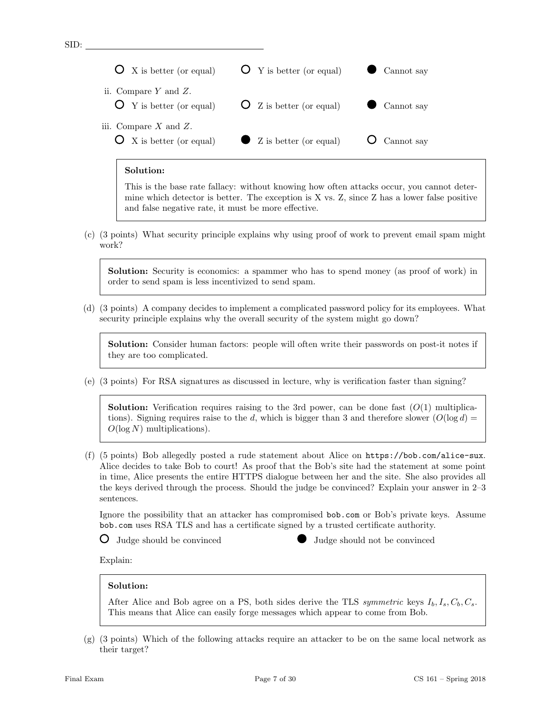# Solution:

SID:

This is the base rate fallacy: without knowing how often attacks occur, you cannot determine which detector is better. The exception is X vs. Z, since Z has a lower false positive and false negative rate, it must be more effective.

(c) (3 points) What security principle explains why using proof of work to prevent email spam might work?

Solution: Security is economics: a spammer who has to spend money (as proof of work) in order to send spam is less incentivized to send spam.

(d) (3 points) A company decides to implement a complicated password policy for its employees. What security principle explains why the overall security of the system might go down?

Solution: Consider human factors: people will often write their passwords on post-it notes if they are too complicated.

(e) (3 points) For RSA signatures as discussed in lecture, why is verification faster than signing?

**Solution:** Verification requires raising to the 3rd power, can be done fast  $(O(1))$  multiplications). Signing requires raise to the d, which is bigger than 3 and therefore slower  $(O(\log d))$  $O(\log N)$  multiplications).

(f) (5 points) Bob allegedly posted a rude statement about Alice on https://bob.com/alice-sux. Alice decides to take Bob to court! As proof that the Bob's site had the statement at some point in time, Alice presents the entire HTTPS dialogue between her and the site. She also provides all the keys derived through the process. Should the judge be convinced? Explain your answer in 2–3 sentences.

Ignore the possibility that an attacker has compromised bob.com or Bob's private keys. Assume bob.com uses RSA TLS and has a certificate signed by a trusted certificate authority.

Judge should be convinced Judge should not be convinced

Explain:

# Solution:

After Alice and Bob agree on a PS, both sides derive the TLS symmetric keys  $I_b, I_s, C_b, C_s$ . This means that Alice can easily forge messages which appear to come from Bob.

(g) (3 points) Which of the following attacks require an attacker to be on the same local network as their target?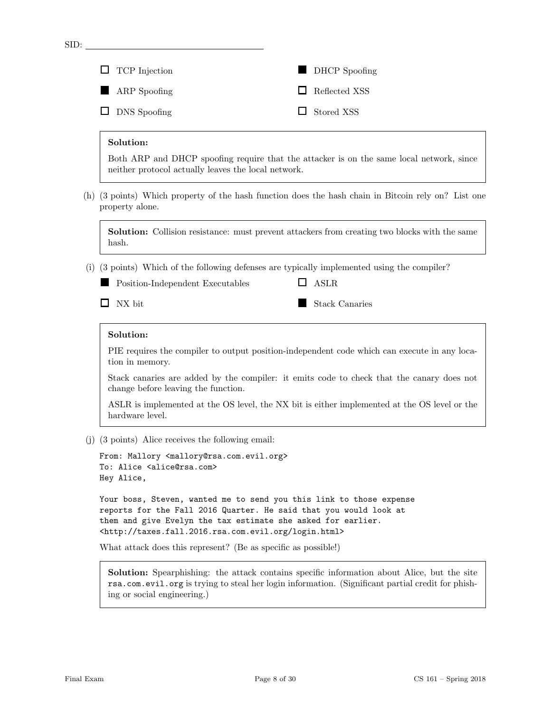| $\Box$ TCP Injection | DHCP Spoofing        |
|----------------------|----------------------|
| ARP Spoofing         | $\Box$ Reflected XSS |
| $\Box$ DNS Spoofing  | $\Box$ Stored XSS    |

### Solution:

SID:

Both ARP and DHCP spoofing require that the attacker is on the same local network, since neither protocol actually leaves the local network.

(h) (3 points) Which property of the hash function does the hash chain in Bitcoin rely on? List one property alone.

Solution: Collision resistance: must prevent attackers from creating two blocks with the same hash.

(i) (3 points) Which of the following defenses are typically implemented using the compiler?

Position-Independent Executables

 $\Box$  NX bit

Stack Canaries

**O** ASLR

### Solution:

PIE requires the compiler to output position-independent code which can execute in any location in memory.

Stack canaries are added by the compiler: it emits code to check that the canary does not change before leaving the function.

ASLR is implemented at the OS level, the NX bit is either implemented at the OS level or the hardware level.

(j) (3 points) Alice receives the following email:

```
From: Mallory <mallory@rsa.com.evil.org>
To: Alice <alice@rsa.com>
Hey Alice,
```
Your boss, Steven, wanted me to send you this link to those expense reports for the Fall 2016 Quarter. He said that you would look at them and give Evelyn the tax estimate she asked for earlier. <http://taxes.fall.2016.rsa.com.evil.org/login.html>

What attack does this represent? (Be as specific as possible!)

Solution: Spearphishing: the attack contains specific information about Alice, but the site rsa.com.evil.org is trying to steal her login information. (Significant partial credit for phishing or social engineering.)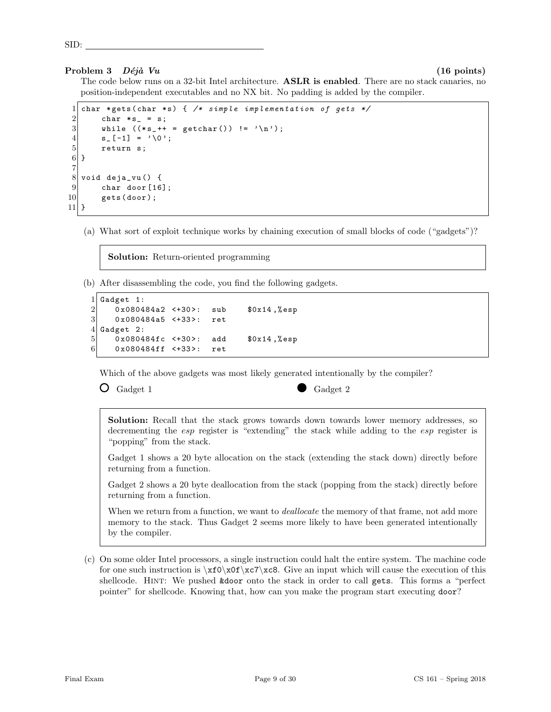# Problem 3  $D\acute{e}i\grave{a}$  Vu (16 points) (16 points)

SID:

The code below runs on a 32-bit Intel architecture. **ASLR is enabled**. There are no stack canaries, no position-independent executables and no NX bit. No padding is added by the compiler.

```
char * gets (char * s) { /* simple implementation of gets */
 2 char * s_{-} = s;<br>3 while (* s_{-}++ )while ((*_s ++ = getchar()) != '\n');
 \begin{array}{c} 4 \\ 5 \end{array} \begin{array}{c} s_{-}[ -1] = ' \setminus 0 \; ; \\ \text{return } s \; ; \end{array}return s;
 6}
 7
 8 void deja_vu() {
\begin{array}{c} 9 \\ 10 \end{array} char door [16];
            gets (door);
11 }
```
(a) What sort of exploit technique works by chaining execution of small blocks of code ("gadgets")?

Solution: Return-oriented programming

(b) After disassembling the code, you find the following gadgets.

```
1 Gadget 1:
\begin{array}{ccc} 2 & 0 \times 080484a2 & \leftarrow +30 > : & \text{sub} & \text{$0 \times 14 \end{array}, \begin{array}{ccc} 0 \times 080484a5 & \leftarrow +33 > : & \text{ret} \end{array}0x080484a5 <+33>: ret
4 Gadget 2:
5 0x080484fc <+30>: add $0x14,%esp
6 0x080484ff <+33>: ret
```
Which of the above gadgets was most likely generated intentionally by the compiler?

 $\bullet$  Gadget 1 Gadget 2

Solution: Recall that the stack grows towards down towards lower memory addresses, so decrementing the *esp* register is "extending" the stack while adding to the *esp* register is "popping" from the stack.

Gadget 1 shows a 20 byte allocation on the stack (extending the stack down) directly before returning from a function.

Gadget 2 shows a 20 byte deallocation from the stack (popping from the stack) directly before returning from a function.

When we return from a function, we want to *deallocate* the memory of that frame, not add more memory to the stack. Thus Gadget 2 seems more likely to have been generated intentionally by the compiler.

(c) On some older Intel processors, a single instruction could halt the entire system. The machine code for one such instruction is  $xfo\xof\zc7\cee.$  Give an input which will cause the execution of this shellcode. Hint: We pushed &door onto the stack in order to call gets. This forms a "perfect pointer" for shellcode. Knowing that, how can you make the program start executing door?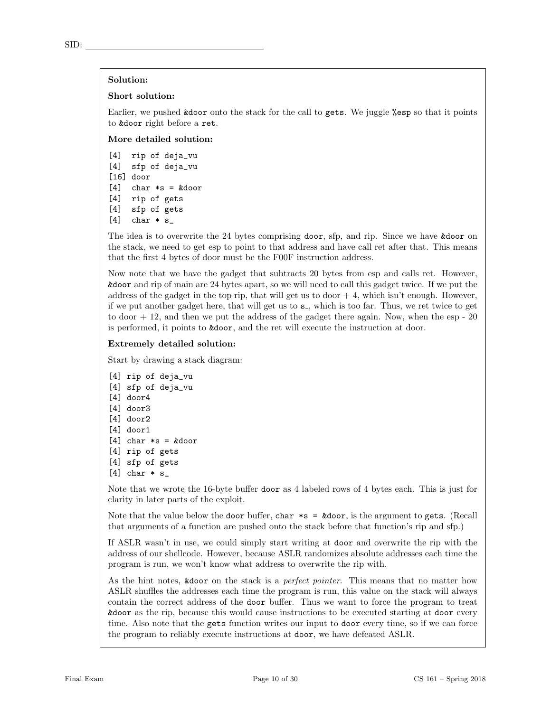### Solution:

### Short solution:

Earlier, we pushed &door onto the stack for the call to gets. We juggle %esp so that it points to &door right before a ret.

More detailed solution:

[4] rip of deja\_vu [4] sfp of deja\_vu [16] door  $[4]$  char  $*s = k$ door [4] rip of gets [4] sfp of gets  $[4]$  char  $*$  s\_

The idea is to overwrite the 24 bytes comprising door, sfp, and rip. Since we have &door on the stack, we need to get esp to point to that address and have call ret after that. This means that the first 4 bytes of door must be the F00F instruction address.

Now note that we have the gadget that subtracts 20 bytes from esp and calls ret. However, &door and rip of main are 24 bytes apart, so we will need to call this gadget twice. If we put the address of the gadget in the top rip, that will get us to door  $+4$ , which isn't enough. However, if we put another gadget here, that will get us to  $s_$ , which is too far. Thus, we ret twice to get to door  $+12$ , and then we put the address of the gadget there again. Now, when the esp  $-20$ is performed, it points to &door, and the ret will execute the instruction at door.

### Extremely detailed solution:

Start by drawing a stack diagram:

```
[4] rip of deja_vu
[4] sfp of deja_vu
[4] door4
[4] door3
[4] door2
[4] door1
[4] char *s = kdoor[4] rip of gets
[4] sfp of gets
[4] char * s_
```
Note that we wrote the 16-byte buffer door as 4 labeled rows of 4 bytes each. This is just for clarity in later parts of the exploit.

Note that the value below the door buffer, char  $*s = k$ door, is the argument to gets. (Recall that arguments of a function are pushed onto the stack before that function's rip and sfp.)

If ASLR wasn't in use, we could simply start writing at door and overwrite the rip with the address of our shellcode. However, because ASLR randomizes absolute addresses each time the program is run, we won't know what address to overwrite the rip with.

As the hint notes, &door on the stack is a *perfect pointer*. This means that no matter how ASLR shuffles the addresses each time the program is run, this value on the stack will always contain the correct address of the door buffer. Thus we want to force the program to treat &door as the rip, because this would cause instructions to be executed starting at door every time. Also note that the gets function writes our input to door every time, so if we can force the program to reliably execute instructions at door, we have defeated ASLR.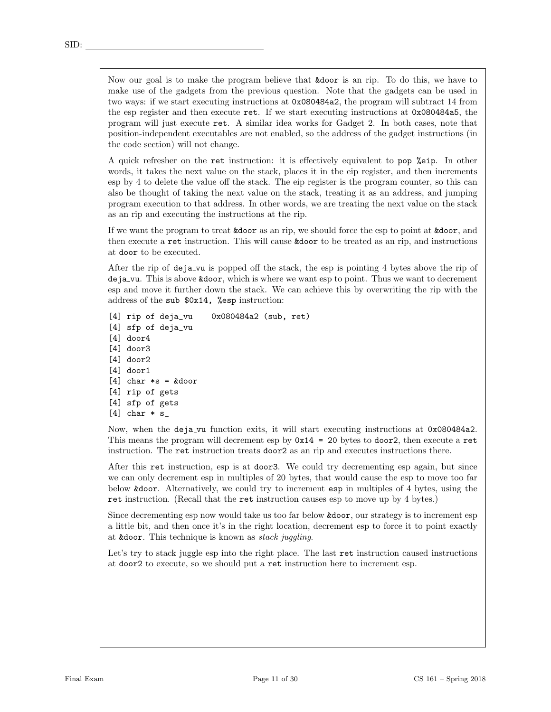Now our goal is to make the program believe that &door is an rip. To do this, we have to make use of the gadgets from the previous question. Note that the gadgets can be used in two ways: if we start executing instructions at 0x080484a2, the program will subtract 14 from the esp register and then execute ret. If we start executing instructions at 0x080484a5, the program will just execute ret. A similar idea works for Gadget 2. In both cases, note that position-independent executables are not enabled, so the address of the gadget instructions (in the code section) will not change.

A quick refresher on the ret instruction: it is effectively equivalent to pop %eip. In other words, it takes the next value on the stack, places it in the eip register, and then increments esp by 4 to delete the value off the stack. The eip register is the program counter, so this can also be thought of taking the next value on the stack, treating it as an address, and jumping program execution to that address. In other words, we are treating the next value on the stack as an rip and executing the instructions at the rip.

If we want the program to treat **&door** as an rip, we should force the esp to point at **&door**, and then execute a ret instruction. This will cause &door to be treated as an rip, and instructions at door to be executed.

After the rip of deja vu is popped off the stack, the esp is pointing 4 bytes above the rip of deja vu. This is above &door, which is where we want esp to point. Thus we want to decrement esp and move it further down the stack. We can achieve this by overwriting the rip with the address of the sub \$0x14, %esp instruction:

[4] rip of deja\_vu 0x080484a2 (sub, ret) [4] sfp of deja\_vu [4] door4 [4] door3 [4] door2 [4] door1  $[4]$  char  $*s = kdoor$ [4] rip of gets [4] sfp of gets  $[4]$  char  $* s$ 

Now, when the deja vu function exits, it will start executing instructions at 0x080484a2. This means the program will decrement esp by  $0x14 = 20$  bytes to door2, then execute a ret instruction. The ret instruction treats door2 as an rip and executes instructions there.

After this ret instruction, esp is at door3. We could try decrementing esp again, but since we can only decrement esp in multiples of 20 bytes, that would cause the esp to move too far below &door. Alternatively, we could try to increment esp in multiples of 4 bytes, using the ret instruction. (Recall that the ret instruction causes esp to move up by 4 bytes.)

Since decrementing esp now would take us too far below &door, our strategy is to increment esp a little bit, and then once it's in the right location, decrement esp to force it to point exactly at &door. This technique is known as stack juggling.

Let's try to stack juggle esp into the right place. The last ret instruction caused instructions at door2 to execute, so we should put a ret instruction here to increment esp.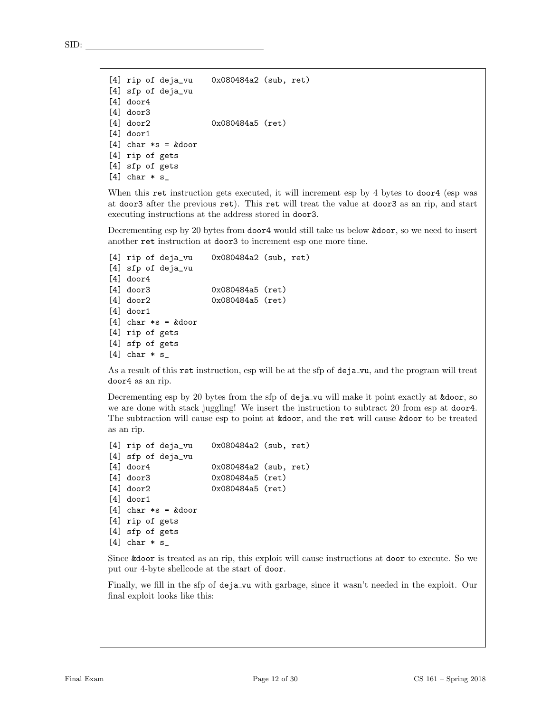```
[4] rip of deja_vu 0x080484a2 (sub, ret)
[4] sfp of deja_vu
[4] door4
[4] door3
[4] door2 0x080484a5 (ret)
[4] door1
[4] char *s = kdoor[4] rip of gets
[4] sfp of gets
```

```
[4] char * s_
```
When this ret instruction gets executed, it will increment esp by 4 bytes to door4 (esp was at door3 after the previous ret). This ret will treat the value at door3 as an rip, and start executing instructions at the address stored in door3.

Decrementing esp by 20 bytes from door4 would still take us below &door, so we need to insert another ret instruction at door3 to increment esp one more time.

```
[4] rip of deja_vu 0x080484a2 (sub, ret)
[4] sfp of deja_vu
[4] door4
[4] door3 0x080484a5 (ret)
[4] door2 0x080484a5 (ret)
[4] door1
[4] char *s = kdoor[4] rip of gets
[4] sfp of gets
[4] char * s_
```
As a result of this ret instruction, esp will be at the sfp of deja vu, and the program will treat door4 as an rip.

Decrementing esp by 20 bytes from the sfp of deja\_vu will make it point exactly at  $\&$  door, so we are done with stack juggling! We insert the instruction to subtract 20 from esp at door4. The subtraction will cause esp to point at &door, and the ret will cause &door to be treated as an rip.

```
[4] rip of deja_vu 0x080484a2 (sub, ret)
[4] sfp of deja_vu
[4] door4 0x080484a2 (sub, ret)
[4] door3 0x080484a5 (ret)
[4] door2 0x080484a5 (ret)
[4] door1
[4] char *s = kdoor[4] rip of gets
[4] sfp of gets
[4] char * s_
```
Since &door is treated as an rip, this exploit will cause instructions at door to execute. So we put our 4-byte shellcode at the start of door.

Finally, we fill in the sfp of deja\_vu with garbage, since it wasn't needed in the exploit. Our final exploit looks like this: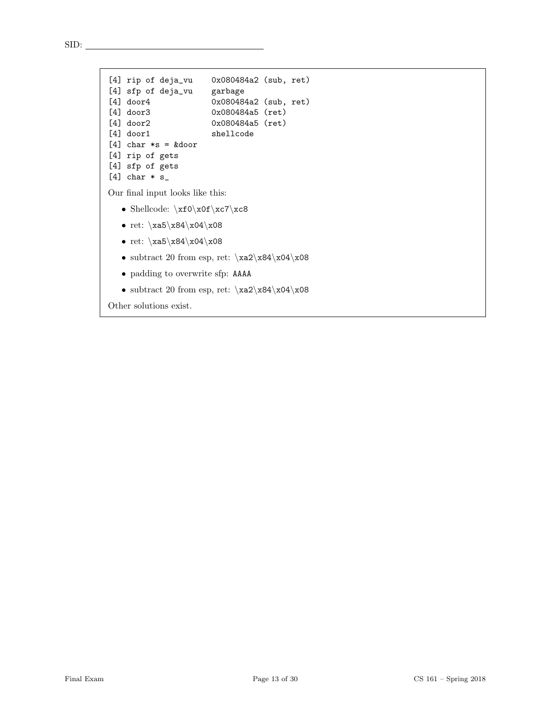```
[4] rip of deja_vu 0x080484a2 (sub, ret)
[4] sfp of deja_vu garbage
[4] door4 0x080484a2 (sub, ret)
[4] door3 0x080484a5 (ret)
[4] door2 0x080484a5 (ret)
[4] door1 shellcode
[4] char *s = kdoor[4] rip of gets
[4] sfp of gets
[4] char * s_
Our final input looks like this:
  • Shellcode: \xf0\x0f\xc7\xc8
  • ret: xa5\x84\x04\x08• ret: xa5\x84\x04\x08• subtract 20 from esp, ret: xa2\xa4\xa04• padding to overwrite sfp: AAAA
```
• subtract 20 from esp, ret:  $xa2\xa4\xa04$ 

Other solutions exist.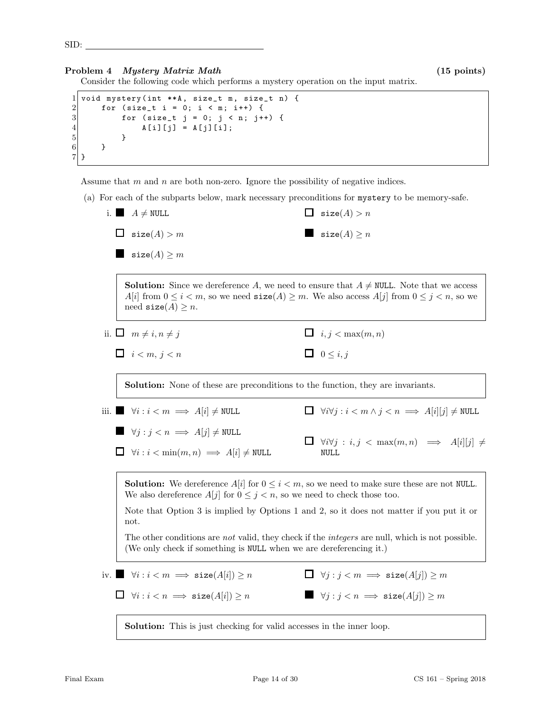SID:

# Problem 4 *Mystery Matrix Math* (15 points)

Consider the following code which performs a mystery operation on the input matrix.

```
1 void mystery (int **A, size_t m, size_t n) {
2 for (size_t i = 0; i < m; i++) {<br>for (size_t j = 0; j < n; j+
          for (size_t j = 0; j < n; j++) {
4 A[i][j] = A[j][i];5 }
6 }
7 }
```
Assume that  $m$  and  $n$  are both non-zero. Ignore the possibility of negative indices.

(a) For each of the subparts below, mark necessary preconditions for mystery to be memory-safe.

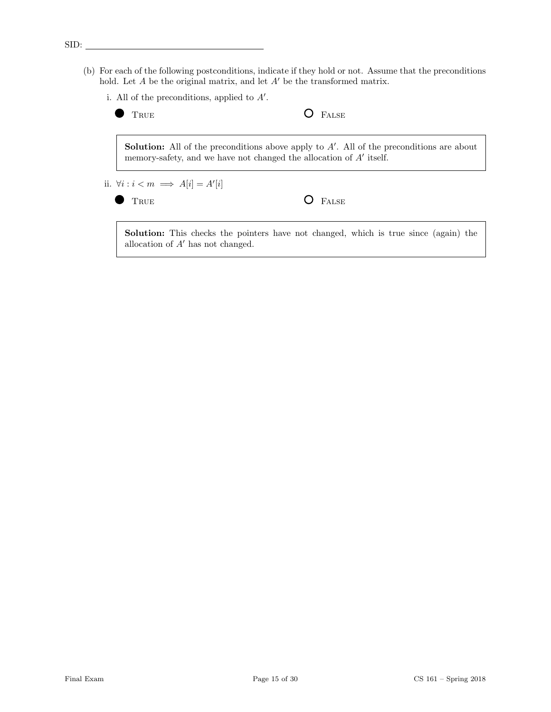(b) For each of the following postconditions, indicate if they hold or not. Assume that the preconditions hold. Let  $A$  be the original matrix, and let  $A'$  be the transformed matrix.



### SID: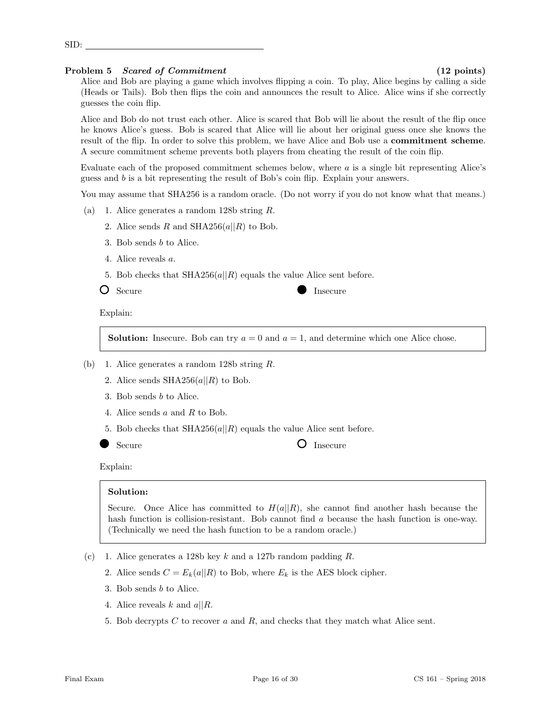# Problem 5 Scared of Commitment (12 points)

SID:

Alice and Bob are playing a game which involves flipping a coin. To play, Alice begins by calling a side (Heads or Tails). Bob then flips the coin and announces the result to Alice. Alice wins if she correctly guesses the coin flip.

Alice and Bob do not trust each other. Alice is scared that Bob will lie about the result of the flip once he knows Alice's guess. Bob is scared that Alice will lie about her original guess once she knows the result of the flip. In order to solve this problem, we have Alice and Bob use a commitment scheme. A secure commitment scheme prevents both players from cheating the result of the coin flip.

Evaluate each of the proposed commitment schemes below, where  $a$  is a single bit representing Alice's guess and b is a bit representing the result of Bob's coin flip. Explain your answers.

You may assume that SHA256 is a random oracle. (Do not worry if you do not know what that means.)

- (a) 1. Alice generates a random 128b string R.
	- 2. Alice sends R and SHA256( $a||R$ ) to Bob.
	- 3. Bob sends b to Alice.
	- 4. Alice reveals a.
	- 5. Bob checks that  $\text{SHA256}(a||R)$  equals the value Alice sent before.
	- $\bigcirc$  Secure Insecure

Explain:

**Solution:** Insecure. Bob can try  $a = 0$  and  $a = 1$ , and determine which one Alice chose.

- (b) 1. Alice generates a random 128b string R.
	- 2. Alice sends  $SHA256(a||R)$  to Bob.
	- 3. Bob sends b to Alice.
	- 4. Alice sends a and R to Bob.
	- 5. Bob checks that  $SHA256(a||R)$  equals the value Alice sent before.
	-

Secure **O** Insecure

# Explain:

# Solution:

Secure. Once Alice has committed to  $H(a||R)$ , she cannot find another hash because the hash function is collision-resistant. Bob cannot find a because the hash function is one-way. (Technically we need the hash function to be a random oracle.)

- (c) 1. Alice generates a 128b key k and a 127b random padding  $R$ .
	- 2. Alice sends  $C = E_k(a||R)$  to Bob, where  $E_k$  is the AES block cipher.
	- 3. Bob sends b to Alice.
	- 4. Alice reveals k and  $a||R$ .
	- 5. Bob decrypts C to recover a and R, and checks that they match what Alice sent.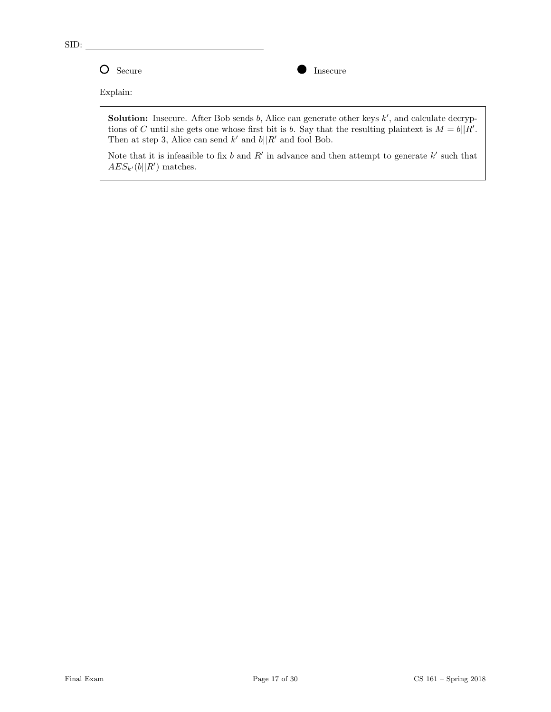

Explain:

**Solution:** Insecure. After Bob sends  $b$ , Alice can generate other keys  $k'$ , and calculate decryptions of C until she gets one whose first bit is b. Say that the resulting plaintext is  $M = b||R'$ . Then at step 3, Alice can send  $k'$  and  $b||R'$  and fool Bob.

Note that it is infeasible to fix b and R' in advance and then attempt to generate  $k'$  such that  $AES_{k'}(b||R')$  matches.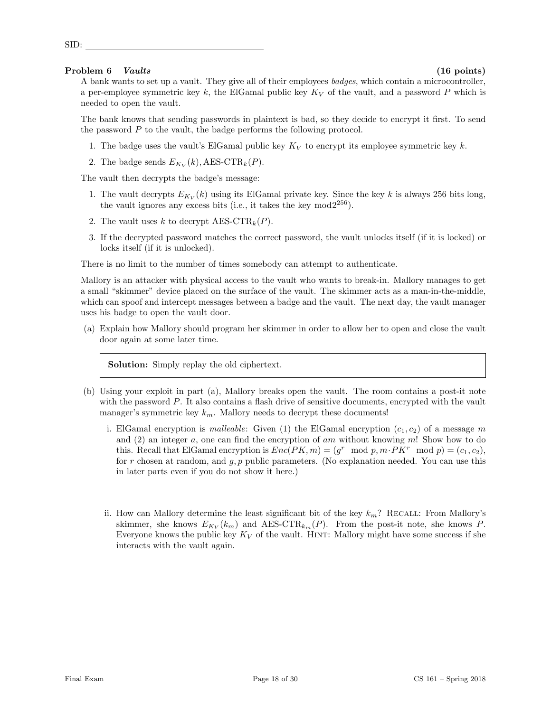# Problem 6 Vaults (16 points) (16 points)

SID:

A bank wants to set up a vault. They give all of their employees badges, which contain a microcontroller, a per-employee symmetric key k, the ElGamal public key  $K_V$  of the vault, and a password P which is needed to open the vault.

The bank knows that sending passwords in plaintext is bad, so they decide to encrypt it first. To send the password P to the vault, the badge performs the following protocol.

- 1. The badge uses the vault's ElGamal public key  $K_V$  to encrypt its employee symmetric key k.
- 2. The badge sends  $E_{K_V}(k)$ , AES-CTR<sub>k</sub>(P).

The vault then decrypts the badge's message:

- 1. The vault decrypts  $E_{K_V}(k)$  using its ElGamal private key. Since the key k is always 256 bits long, the vault ignores any excess bits (i.e., it takes the key  $mod2^{256}$ ).
- 2. The vault uses k to decrypt  $AES-CTR_k(P)$ .
- 3. If the decrypted password matches the correct password, the vault unlocks itself (if it is locked) or locks itself (if it is unlocked).

There is no limit to the number of times somebody can attempt to authenticate.

Mallory is an attacker with physical access to the vault who wants to break-in. Mallory manages to get a small "skimmer" device placed on the surface of the vault. The skimmer acts as a man-in-the-middle, which can spoof and intercept messages between a badge and the vault. The next day, the vault manager uses his badge to open the vault door.

(a) Explain how Mallory should program her skimmer in order to allow her to open and close the vault door again at some later time.

Solution: Simply replay the old ciphertext.

- (b) Using your exploit in part (a), Mallory breaks open the vault. The room contains a post-it note with the password P. It also contains a flash drive of sensitive documents, encrypted with the vault manager's symmetric key  $k_m$ . Mallory needs to decrypt these documents!
	- i. ElGamal encryption is *malleable*: Given (1) the ElGamal encryption  $(c_1, c_2)$  of a message m and  $(2)$  an integer a, one can find the encryption of am without knowing m! Show how to do this. Recall that ElGamal encryption is  $Enc(PK, m) = (g^r \mod p, m \cdot PK^r \mod p) = (c_1, c_2),$ for r chosen at random, and  $g, p$  public parameters. (No explanation needed. You can use this in later parts even if you do not show it here.)
	- ii. How can Mallory determine the least significant bit of the key  $k_m$ ? RECALL: From Mallory's skimmer, she knows  $E_{K_V}(k_m)$  and AES-CTR<sub>k<sub>m</sub></sub>(P). From the post-it note, she knows P. Everyone knows the public key  $K_V$  of the vault. HINT: Mallory might have some success if she interacts with the vault again.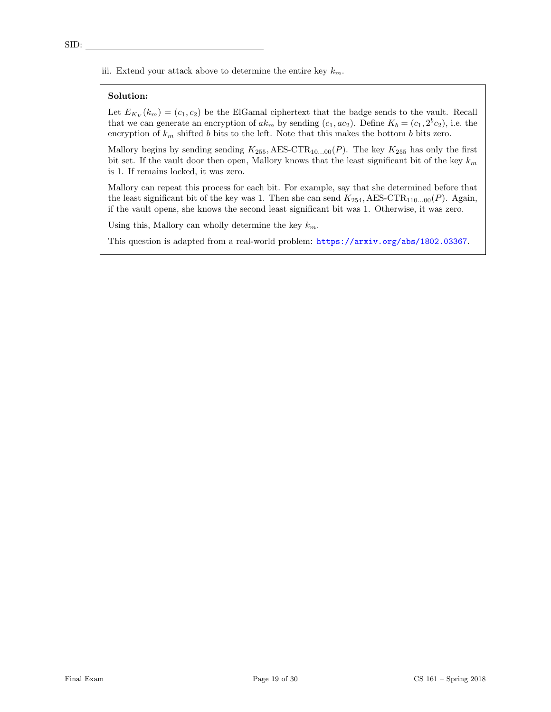iii. Extend your attack above to determine the entire key  $k_m$ .

### Solution:

Let  $E_{K_V}(k_m) = (c_1, c_2)$  be the ElGamal ciphertext that the badge sends to the vault. Recall that we can generate an encryption of  $ak_m$  by sending  $(c_1, ac_2)$ . Define  $K_b = (c_1, 2^b c_2)$ , i.e. the encryption of  $k_m$  shifted b bits to the left. Note that this makes the bottom b bits zero.

Mallory begins by sending sending  $K_{255}$ , AES-CTR<sub>10...00</sub> $(P)$ . The key  $K_{255}$  has only the first bit set. If the vault door then open, Mallory knows that the least significant bit of the key  $k_m$ is 1. If remains locked, it was zero.

Mallory can repeat this process for each bit. For example, say that she determined before that the least significant bit of the key was 1. Then she can send  $K_{254}$ , AES-CTR<sub>110...00</sub>(P). Again, if the vault opens, she knows the second least significant bit was 1. Otherwise, it was zero.

Using this, Mallory can wholly determine the key  $k_m$ .

This question is adapted from a real-world problem: <https://arxiv.org/abs/1802.03367>.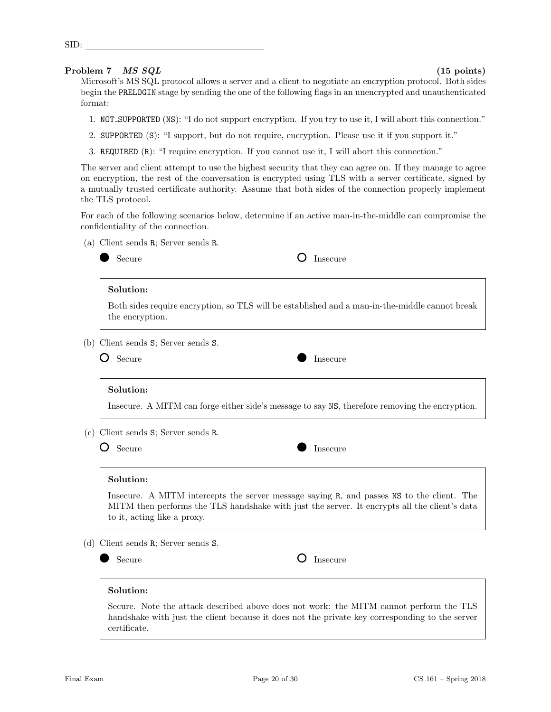Problem 7 *MS SQL* (15 points)

Microsoft's MS SQL protocol allows a server and a client to negotiate an encryption protocol. Both sides begin the PRELOGIN stage by sending the one of the following flags in an unencrypted and unauthenticated format:

- 1. NOT SUPPORTED (NS): "I do not support encryption. If you try to use it, I will abort this connection."
- 2. SUPPORTED (S): "I support, but do not require, encryption. Please use it if you support it."
- 3. REQUIRED (R): "I require encryption. If you cannot use it, I will abort this connection."

The server and client attempt to use the highest security that they can agree on. If they manage to agree on encryption, the rest of the conversation is encrypted using TLS with a server certificate, signed by a mutually trusted certificate authority. Assume that both sides of the connection properly implement the TLS protocol.

For each of the following scenarios below, determine if an active man-in-the-middle can compromise the confidentiality of the connection.

(a) Client sends R; Server sends R.

|     | Secure                          | Insecure                                                                                                                                                                                  |
|-----|---------------------------------|-------------------------------------------------------------------------------------------------------------------------------------------------------------------------------------------|
|     | Solution:                       |                                                                                                                                                                                           |
|     | the encryption.                 | Both sides require encryption, so TLS will be established and a man-in-the-middle cannot break                                                                                            |
| (b) | Client sends S; Server sends S. |                                                                                                                                                                                           |
|     | Secure                          | Insecure                                                                                                                                                                                  |
|     | Solution:                       |                                                                                                                                                                                           |
|     |                                 | Insecure. A MITM can forge either side's message to say NS, therefore removing the encryption.                                                                                            |
| (c) | Client sends S; Server sends R. |                                                                                                                                                                                           |
|     | Secure                          | Insecure                                                                                                                                                                                  |
|     | Solution:                       |                                                                                                                                                                                           |
|     | to it, acting like a proxy.     | Insecure. A MITM intercepts the server message saying R, and passes NS to the client. The<br>MITM then performs the TLS handshake with just the server. It encrypts all the client's data |
| (d) | Client sends R; Server sends S. |                                                                                                                                                                                           |
|     | Secure                          | Insecure                                                                                                                                                                                  |
|     | Solution:                       |                                                                                                                                                                                           |
|     | certificate.                    | Secure. Note the attack described above does not work: the MITM cannot perform the TLS<br>handshake with just the client because it does not the private key corresponding to the server  |

SID: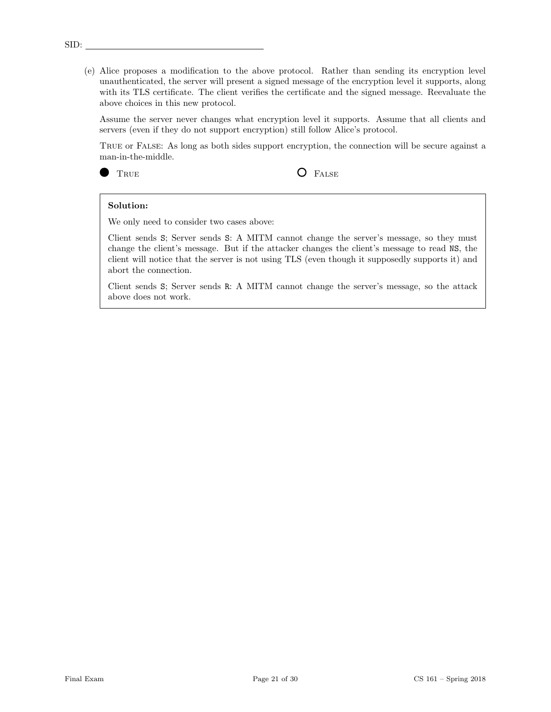(e) Alice proposes a modification to the above protocol. Rather than sending its encryption level unauthenticated, the server will present a signed message of the encryption level it supports, along with its TLS certificate. The client verifies the certificate and the signed message. Reevaluate the above choices in this new protocol.

Assume the server never changes what encryption level it supports. Assume that all clients and servers (even if they do not support encryption) still follow Alice's protocol.

True or False: As long as both sides support encryption, the connection will be secure against a man-in-the-middle.



TRUE **O** FALSE

# Solution:

We only need to consider two cases above:

Client sends S; Server sends S: A MITM cannot change the server's message, so they must change the client's message. But if the attacker changes the client's message to read NS, the client will notice that the server is not using TLS (even though it supposedly supports it) and abort the connection.

Client sends S; Server sends R: A MITM cannot change the server's message, so the attack above does not work.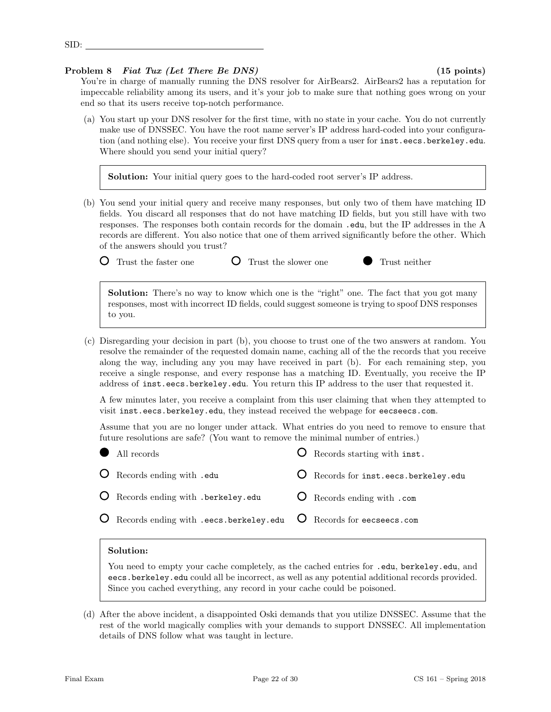### Final Exam Page 22 of 30 CS 161 – Spring 2018

# Problem 8 Fiat Tux (Let There Be DNS) (15 points)

You're in charge of manually running the DNS resolver for AirBears2. AirBears2 has a reputation for impeccable reliability among its users, and it's your job to make sure that nothing goes wrong on your end so that its users receive top-notch performance.

(a) You start up your DNS resolver for the first time, with no state in your cache. You do not currently make use of DNSSEC. You have the root name server's IP address hard-coded into your configuration (and nothing else). You receive your first DNS query from a user for inst.eecs.berkeley.edu. Where should you send your initial query?

Solution: Your initial query goes to the hard-coded root server's IP address.

(b) You send your initial query and receive many responses, but only two of them have matching ID fields. You discard all responses that do not have matching ID fields, but you still have with two responses. The responses both contain records for the domain .edu, but the IP addresses in the A records are different. You also notice that one of them arrived significantly before the other. Which of the answers should you trust?

Q Trust the faster one Q Trust the slower one C Trust neither

Solution: There's no way to know which one is the "right" one. The fact that you got many responses, most with incorrect ID fields, could suggest someone is trying to spoof DNS responses to you.

(c) Disregarding your decision in part (b), you choose to trust one of the two answers at random. You resolve the remainder of the requested domain name, caching all of the the records that you receive along the way, including any you may have received in part (b). For each remaining step, you receive a single response, and every response has a matching ID. Eventually, you receive the IP address of inst.eecs.berkeley.edu. You return this IP address to the user that requested it.

A few minutes later, you receive a complaint from this user claiming that when they attempted to visit inst.eecs.berkeley.edu, they instead received the webpage for eecseecs.com.

Assume that you are no longer under attack. What entries do you need to remove to ensure that future resolutions are safe? (You want to remove the minimal number of entries.)

| O Records starting with inst.                                                      |                                                                                               |
|------------------------------------------------------------------------------------|-----------------------------------------------------------------------------------------------|
| O Records for inst.eecs.berkeley.edu                                               |                                                                                               |
| <b>O</b> Records ending with .com                                                  |                                                                                               |
|                                                                                    |                                                                                               |
| • All records<br>O Records ending with .edu<br>O Records ending with .berkeley.edu | $\overline{O}$ Records ending with .eecs.berkeley.edu $\overline{O}$ Records for eecseecs.com |

### Solution:

You need to empty your cache completely, as the cached entries for . **edu**, berkeley. **edu**, and eecs.berkeley.edu could all be incorrect, as well as any potential additional records provided. Since you cached everything, any record in your cache could be poisoned.

(d) After the above incident, a disappointed Oski demands that you utilize DNSSEC. Assume that the rest of the world magically complies with your demands to support DNSSEC. All implementation details of DNS follow what was taught in lecture.

SID: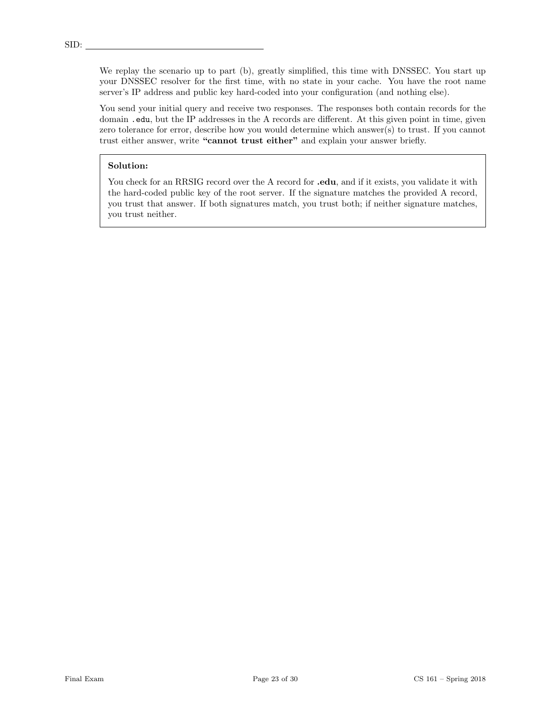We replay the scenario up to part (b), greatly simplified, this time with DNSSEC. You start up your DNSSEC resolver for the first time, with no state in your cache. You have the root name server's IP address and public key hard-coded into your configuration (and nothing else).

You send your initial query and receive two responses. The responses both contain records for the domain .edu, but the IP addresses in the A records are different. At this given point in time, given zero tolerance for error, describe how you would determine which answer(s) to trust. If you cannot trust either answer, write "cannot trust either" and explain your answer briefly.

# Solution:

You check for an RRSIG record over the A record for **.edu**, and if it exists, you validate it with the hard-coded public key of the root server. If the signature matches the provided A record, you trust that answer. If both signatures match, you trust both; if neither signature matches, you trust neither.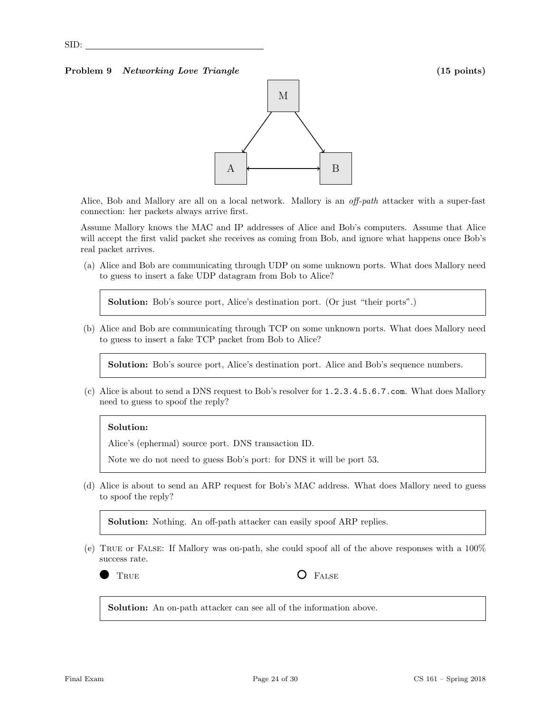### Problem 9 Networking Love Triangle (15 points) (15 points)



Alice, Bob and Mallory are all on a local network. Mallory is an *off-path* attacker with a super-fast connection: her packets always arrive first.

Assume Mallory knows the MAC and IP addresses of Alice and Bob's computers. Assume that Alice will accept the first valid packet she receives as coming from Bob, and ignore what happens once Bob's real packet arrives.

(a) Alice and Bob are communicating through UDP on some unknown ports. What does Mallory need to guess to insert a fake UDP datagram from Bob to Alice?

Solution: Bob's source port, Alice's destination port. (Or just "their ports".)

(b) Alice and Bob are communicating through TCP on some unknown ports. What does Mallory need to guess to insert a fake TCP packet from Bob to Alice?

Solution: Bob's source port, Alice's destination port. Alice and Bob's sequence numbers.

(c) Alice is about to send a DNS request to Bob's resolver for 1.2.3.4.5.6.7.com. What does Mallory need to guess to spoof the reply?

### Solution:

Alice's (ephermal) source port. DNS transaction ID.

Note we do not need to guess Bob's port: for DNS it will be port 53.

(d) Alice is about to send an ARP request for Bob's MAC address. What does Mallory need to guess to spoof the reply?

Solution: Nothing. An off-path attacker can easily spoof ARP replies.

(e) True or False: If Mallory was on-path, she could spoof all of the above responses with a 100% success rate.

TRUE **O** FALSE

Solution: An on-path attacker can see all of the information above.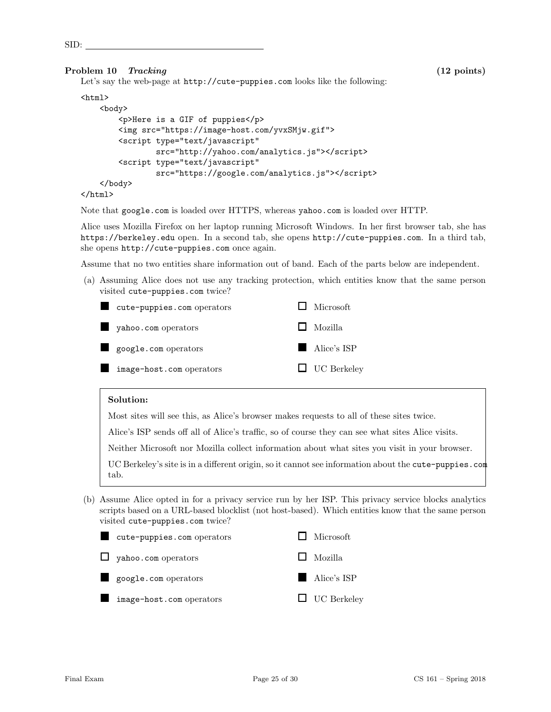SID:

### Problem 10 Tracking (12 points) (12 points)

Let's say the web-page at http://cute-puppies.com looks like the following:

# $\verb|html|$

```
<body>
        <p>Here is a GIF of puppies</p>
        <img src="https://image-host.com/yvxSMjw.gif">
        <script type="text/javascript"
                src="http://yahoo.com/analytics.js"></script>
        <script type="text/javascript"
                src="https://google.com/analytics.js"></script>
    </body>
</html>
```
Note that google.com is loaded over HTTPS, whereas yahoo.com is loaded over HTTP.

Alice uses Mozilla Firefox on her laptop running Microsoft Windows. In her first browser tab, she has https://berkeley.edu open. In a second tab, she opens http://cute-puppies.com. In a third tab, she opens http://cute-puppies.com once again.

Assume that no two entities share information out of band. Each of the parts below are independent.

(a) Assuming Alice does not use any tracking protection, which entities know that the same person visited cute-puppies.com twice?



### Solution:

Most sites will see this, as Alice's browser makes requests to all of these sites twice.

Alice's ISP sends off all of Alice's traffic, so of course they can see what sites Alice visits.

Neither Microsoft nor Mozilla collect information about what sites you visit in your browser.

UC Berkeley's site is in a different origin, so it cannot see information about the cute-puppies.com tab.

(b) Assume Alice opted in for a privacy service run by her ISP. This privacy service blocks analytics scripts based on a URL-based blocklist (not host-based). Which entities know that the same person visited cute-puppies.com twice?

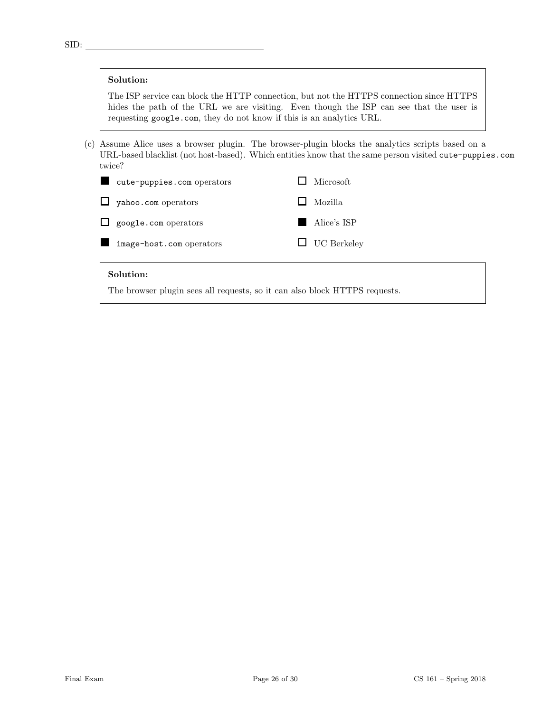# Solution:

The ISP service can block the HTTP connection, but not the HTTPS connection since HTTPS hides the path of the URL we are visiting. Even though the ISP can see that the user is requesting google.com, they do not know if this is an analytics URL.

(c) Assume Alice uses a browser plugin. The browser-plugin blocks the analytics scripts based on a URL-based blacklist (not host-based). Which entities know that the same person visited cute-puppies.com twice?



### Solution:

The browser plugin sees all requests, so it can also block HTTPS requests.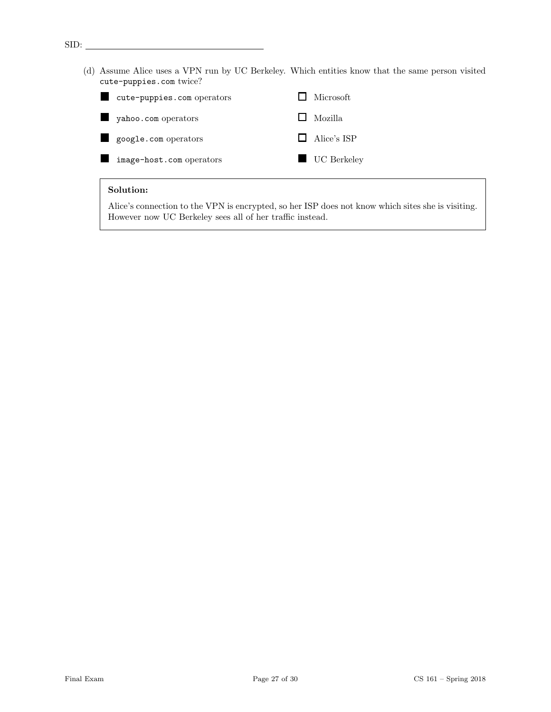(d) Assume Alice uses a VPN run by UC Berkeley. Which entities know that the same person visited cute-puppies.com twice?

| п | cute-puppies.com operators | $\Box$ Microsoft   |
|---|----------------------------|--------------------|
|   | yahoo.com operators        | $\Box$ Mozilla     |
|   | google.com operators       | $\Box$ Alice's ISP |
|   | image-host.com operators   | UC Berkeley        |

### Solution:

SID:

Alice's connection to the VPN is encrypted, so her ISP does not know which sites she is visiting. However now UC Berkeley sees all of her traffic instead.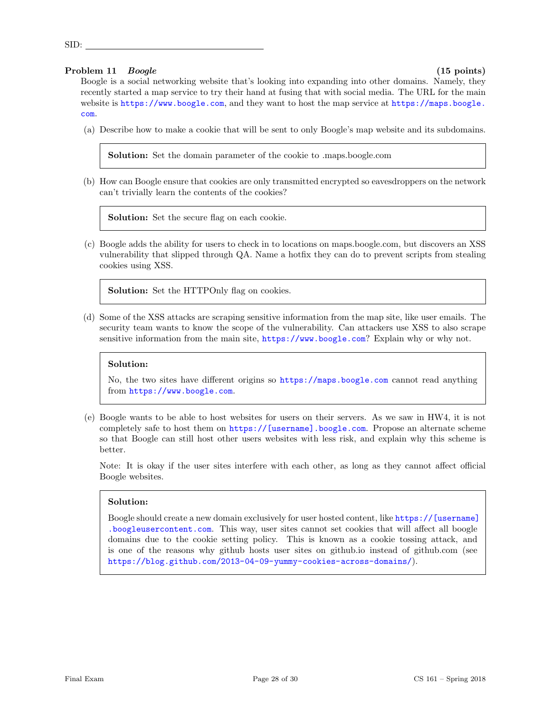# Problem 11 Boogle (15 points) (15 points)

SID:

Boogle is a social networking website that's looking into expanding into other domains. Namely, they recently started a map service to try their hand at fusing that with social media. The URL for the main website is <https://www.boogle.com>, and they want to host the map service at [https://maps.boogle.](https://maps.boogle.com) [com](https://maps.boogle.com).

(a) Describe how to make a cookie that will be sent to only Boogle's map website and its subdomains.

Solution: Set the domain parameter of the cookie to .maps.boogle.com

(b) How can Boogle ensure that cookies are only transmitted encrypted so eavesdroppers on the network can't trivially learn the contents of the cookies?

Solution: Set the secure flag on each cookie.

(c) Boogle adds the ability for users to check in to locations on maps.boogle.com, but discovers an XSS vulnerability that slipped through QA. Name a hotfix they can do to prevent scripts from stealing cookies using XSS.

Solution: Set the HTTPOnly flag on cookies.

(d) Some of the XSS attacks are scraping sensitive information from the map site, like user emails. The security team wants to know the scope of the vulnerability. Can attackers use XSS to also scrape sensitive information from the main site, <https://www.boogle.com>? Explain why or why not.

# Solution:

No, the two sites have different origins so <https://maps.boogle.com> cannot read anything from <https://www.boogle.com>.

(e) Boogle wants to be able to host websites for users on their servers. As we saw in HW4, it is not completely safe to host them on [https://\[username\].boogle.com](https://[username].boogle.com). Propose an alternate scheme so that Boogle can still host other users websites with less risk, and explain why this scheme is better.

Note: It is okay if the user sites interfere with each other, as long as they cannot affect official Boogle websites.

# Solution:

Boogle should create a new domain exclusively for user hosted content, like [https://\[username\]](https://[username].boogleusercontent.com) [.boogleusercontent.com](https://[username].boogleusercontent.com). This way, user sites cannot set cookies that will affect all boogle domains due to the cookie setting policy. This is known as a cookie tossing attack, and is one of the reasons why github hosts user sites on github.io instead of github.com (see <https://blog.github.com/2013-04-09-yummy-cookies-across-domains/>).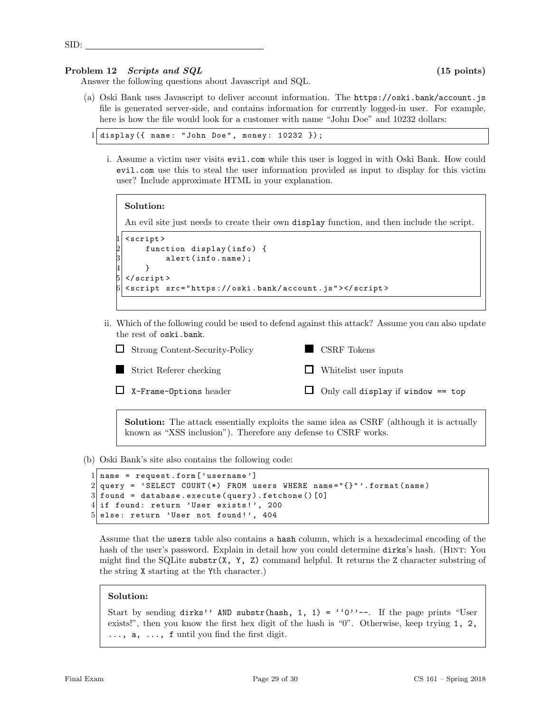SID:

### Problem 12 Scripts and SQL (15 points) (15 points)

Answer the following questions about Javascript and SQL.

(a) Oski Bank uses Javascript to deliver account information. The https://oski.bank/account.js file is generated server-side, and contains information for currently logged-in user. For example, here is how the file would look for a customer with name "John Doe" and 10232 dollars:

```
display ({ name: "John Doe", money: 10232 });
```
i. Assume a victim user visits evil.com while this user is logged in with Oski Bank. How could evil.com use this to steal the user information provided as input to display for this victim user? Include approximate HTML in your explanation.

```
Solution:
An evil site just needs to create their own display function, and then include the script.
1 < script >
     function display (info) {
           alert (info.name);
     \mathcal{F}\langle/script>
6 < script src = " https :// oski . bank / account . js " > </ script >
```
ii. Which of the following could be used to defend against this attack? Assume you can also update the rest of oski.bank.

| $\Box$ Strong Content-Security-Policy | $\blacksquare$ CSRF Tokens                |
|---------------------------------------|-------------------------------------------|
| Strict Referer checking               | $\Box$ Whitelist user inputs              |
| $\Box$ X-Frame-Options header         | $\Box$ Only call display if window == top |

Solution: The attack essentially exploits the same idea as CSRF (although it is actually known as "XSS inclusion"). Therefore any defense to CSRF works.

(b) Oski Bank's site also contains the following code:

```
1 name = request . form ['username']
2 \mid query = 'SELECT COUNT (*) FROM users WHERE name="\{}"'.format (name)
3 found = database. execute (query). fetchone () [0]
4 if found: return 'User exists!', 200
5 else: return 'User not found!', 404
```
Assume that the users table also contains a hash column, which is a hexadecimal encoding of the hash of the user's password. Explain in detail how you could determine dirks's hash. (HINT: You might find the SQLite substr $(X, Y, Z)$  command helpful. It returns the Z character substring of the string X starting at the Yth character.)

# Solution:

Start by sending dirks'' AND substr(hash, 1, 1) = ''0''--. If the page prints "User exists!", then you know the first hex digit of the hash is "0". Otherwise, keep trying 1, 2, ..., a, ..., f until you find the first digit.